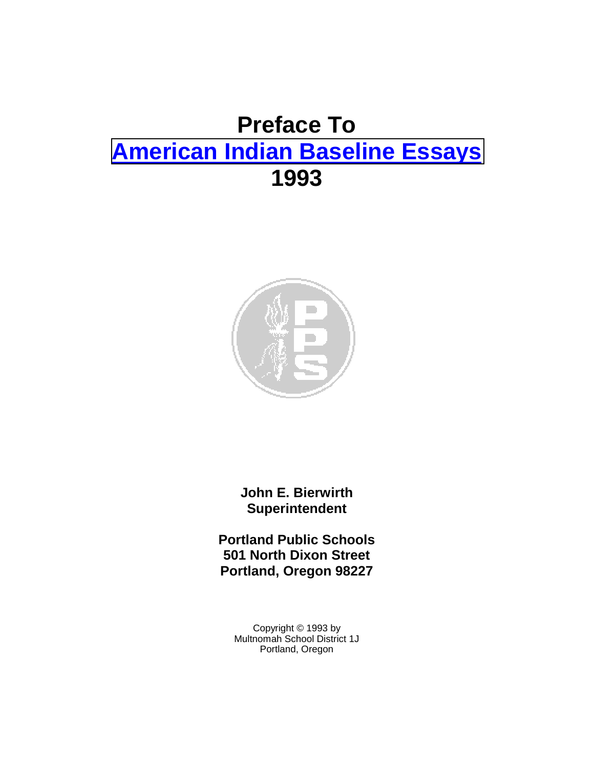# **Preface To [American Indian Baseline Essays](http://www.pps.k12.or.us/district/depts/mc-me/essays.shtml#amin) 1993**



**John E. Bierwirth Superintendent** 

**Portland Public Schools 501 North Dixon Street Portland, Oregon 98227** 

Copyright © 1993 by Multnomah School District 1J Portland, Oregon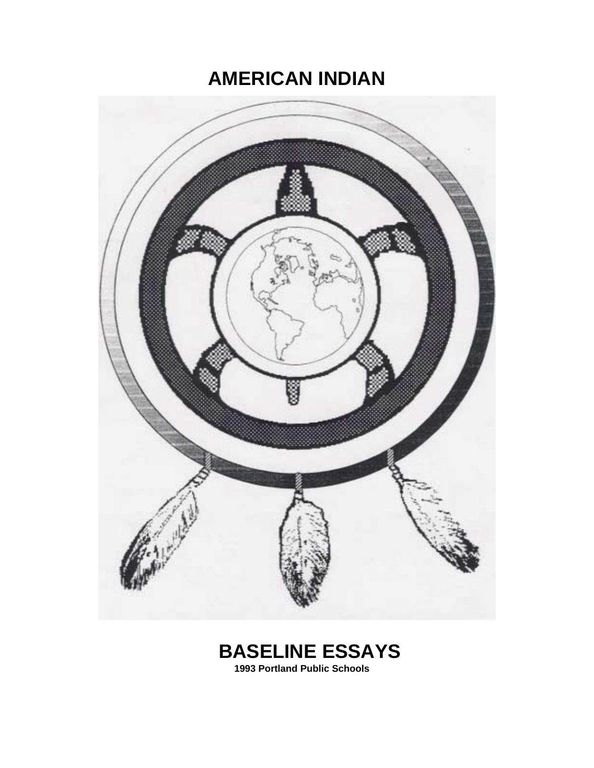# **AMERICAN INDIAN**



# **BASELINE ESSAYS**

 **1993 Portland Public Schools**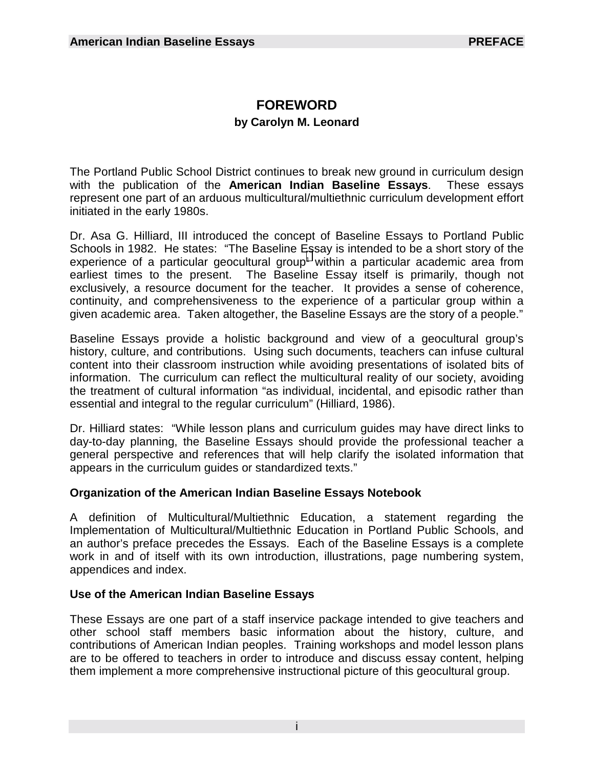# **FOREWORD**

# **by Carolyn M. Leonard**

The Portland Public School District continues to break new ground in curriculum design with the publication of the **American Indian Baseline Essays**. These essays represent one part of an arduous multicultural/multiethnic curriculum development effort initiated in the early 1980s.

Dr. Asa G. Hilliard, III introduced the concept of Baseline Essays to Portland Public Schools in 1982. He states: "The Baseline [Es](#page-25-0)say is intended to be a short story of the experience of a particular geocultural group<sup>1</sup> within a particular academic area from earliest times to the present. The Baseline Essay itself is primarily, though not exclusively, a resource document for the teacher. It provides a sense of coherence, continuity, and comprehensiveness to the experience of a particular group within a given academic area. Taken altogether, the Baseline Essays are the story of a people."

Baseline Essays provide a holistic background and view of a geocultural group's history, culture, and contributions. Using such documents, teachers can infuse cultural content into their classroom instruction while avoiding presentations of isolated bits of information. The curriculum can reflect the multicultural reality of our society, avoiding the treatment of cultural information "as individual, incidental, and episodic rather than essential and integral to the regular curriculum" (Hilliard, 1986).

Dr. Hilliard states: "While lesson plans and curriculum guides may have direct links to day-to-day planning, the Baseline Essays should provide the professional teacher a general perspective and references that will help clarify the isolated information that appears in the curriculum guides or standardized texts."

### **Organization of the American Indian Baseline Essays Notebook**

A definition of Multicultural/Multiethnic Education, a statement regarding the Implementation of Multicultural/Multiethnic Education in Portland Public Schools, and an author's preface precedes the Essays. Each of the Baseline Essays is a complete work in and of itself with its own introduction, illustrations, page numbering system, appendices and index.

# **Use of the American Indian Baseline Essays**

These Essays are one part of a staff inservice package intended to give teachers and other school staff members basic information about the history, culture, and contributions of American Indian peoples. Training workshops and model lesson plans are to be offered to teachers in order to introduce and discuss essay content, helping them implement a more comprehensive instructional picture of this geocultural group.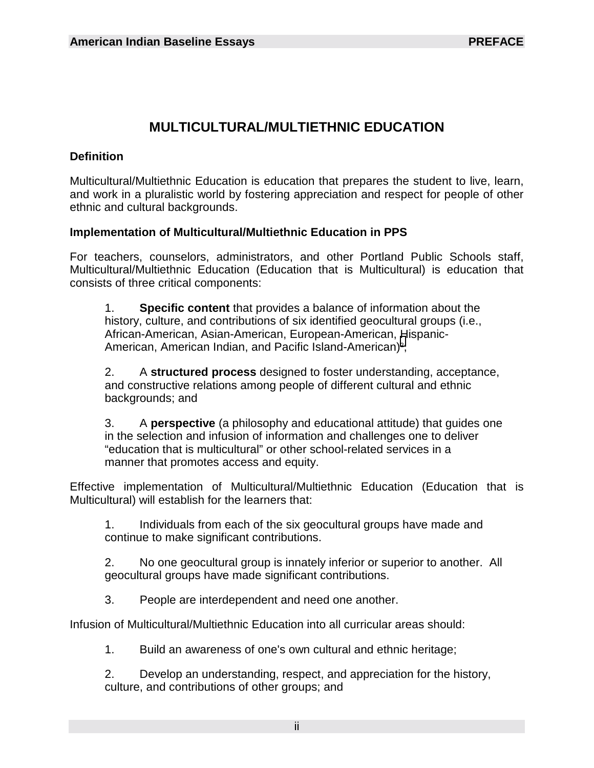# **MULTICULTURAL/MULTIETHNIC EDUCATION**

## **Definition**

Multicultural/Multiethnic Education is education that prepares the student to live, learn, and work in a pluralistic world by fostering appreciation and respect for people of other ethnic and cultural backgrounds.

### **Implementation of Multicultural/Multiethnic Education in PPS**

For teachers, counselors, administrators, and other Portland Public Schools staff, Multicultural/Multiethnic Education (Education that is Multicultural) is education that consists of three critical components:

 1. **Specific content** that provides a balance of information about the history, culture, and contributions of six identified geocultural groups (i.e., African-American, Asian-American, European-American, [H](#page-25-0)ispanic- American, American Indian, and Pacific Island-American)<sup>2</sup>;

 2. A **structured process** designed to foster understanding, acceptance, and constructive relations among people of different cultural and ethnic backgrounds; and

 3. A **perspective** (a philosophy and educational attitude) that guides one in the selection and infusion of information and challenges one to deliver "education that is multicultural" or other school-related services in a manner that promotes access and equity.

Effective implementation of Multicultural/Multiethnic Education (Education that is Multicultural) will establish for the learners that:

 1. Individuals from each of the six geocultural groups have made and continue to make significant contributions.

 2. No one geocultural group is innately inferior or superior to another. All geocultural groups have made significant contributions.

3. People are interdependent and need one another.

Infusion of Multicultural/Multiethnic Education into all curricular areas should:

1. Build an awareness of one's own cultural and ethnic heritage;

 2. Develop an understanding, respect, and appreciation for the history, culture, and contributions of other groups; and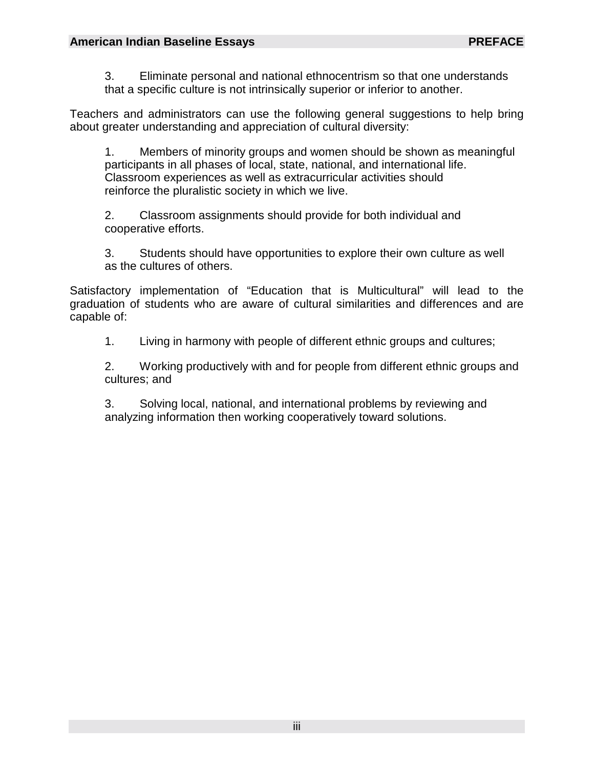3. Eliminate personal and national ethnocentrism so that one understands that a specific culture is not intrinsically superior or inferior to another.

Teachers and administrators can use the following general suggestions to help bring about greater understanding and appreciation of cultural diversity:

 1. Members of minority groups and women should be shown as meaningful participants in all phases of local, state, national, and international life. Classroom experiences as well as extracurricular activities should reinforce the pluralistic society in which we live.

 2. Classroom assignments should provide for both individual and cooperative efforts.

 3. Students should have opportunities to explore their own culture as well as the cultures of others.

Satisfactory implementation of "Education that is Multicultural" will lead to the graduation of students who are aware of cultural similarities and differences and are capable of:

1. Living in harmony with people of different ethnic groups and cultures;

 2. Working productively with and for people from different ethnic groups and cultures; and

 3. Solving local, national, and international problems by reviewing and analyzing information then working cooperatively toward solutions.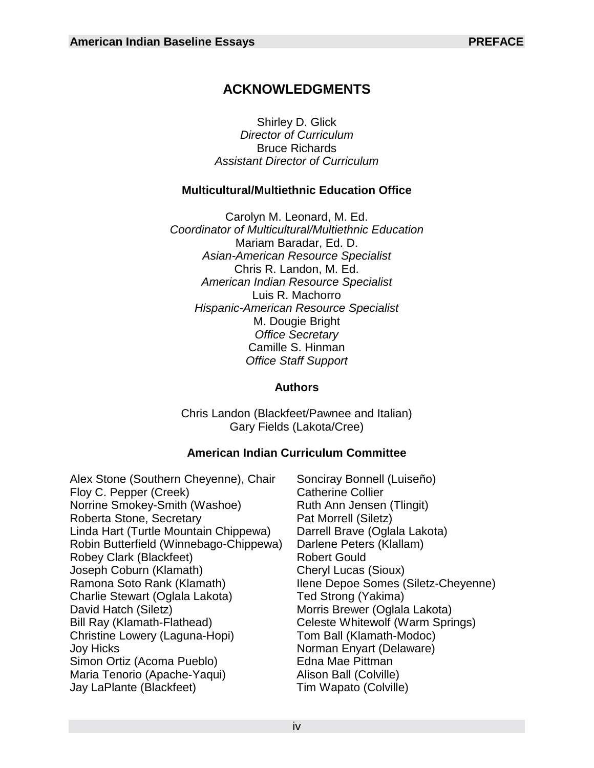# **ACKNOWLEDGMENTS**

Shirley D. Glick *Director of Curriculum* Bruce Richards *Assistant Director of Curriculum*

### **Multicultural/Multiethnic Education Office**

Carolyn M. Leonard, M. Ed. *Coordinator of Multicultural/Multiethnic Education*  Mariam Baradar, Ed. D. *Asian-American Resource Specialist* Chris R. Landon, M. Ed. *American Indian Resource Specialist*  Luis R. Machorro *Hispanic-American Resource Specialist* M. Dougie Bright *Office Secretary*  Camille S. Hinman *Office Staff Support*

#### **Authors**

Chris Landon (Blackfeet/Pawnee and Italian) Gary Fields (Lakota/Cree)

# **American Indian Curriculum Committee**

- Alex Stone (Southern Cheyenne), Chair Sonciray Bonnell (Luiseño) Floy C. Pepper (Creek) Catherine Collier Norrine Smokey-Smith (Washoe) Ruth Ann Jensen (Tlingit) Roberta Stone, Secretary Pat Morrell (Siletz) Linda Hart (Turtle Mountain Chippewa) Darrell Brave (Oglala Lakota)<br>Robin Butterfield (Winnebago-Chippewa) Darlene Peters (Klallam) Robin Butterfield (Winnebago-Chippewa) Robey Clark (Blackfeet) Robert Gould Joseph Coburn (Klamath) Cheryl Lucas (Sioux) Ramona Soto Rank (Klamath) Ilene Depoe Somes (Siletz-Cheyenne) Charlie Stewart (Oglala Lakota) Ted Strong (Yakima) David Hatch (Siletz) Morris Brewer (Oglala Lakota) Christine Lowery (Laguna-Hopi) Tom Ball (Klamath-Modoc) Joy Hicks Norman Enyart (Delaware) Simon Ortiz (Acoma Pueblo) Edna Mae Pittman Maria Tenorio (Apache-Yaqui) Jay LaPlante (Blackfeet) Tim Wapato (Colville)
	- Celeste Whitewolf (Warm Springs)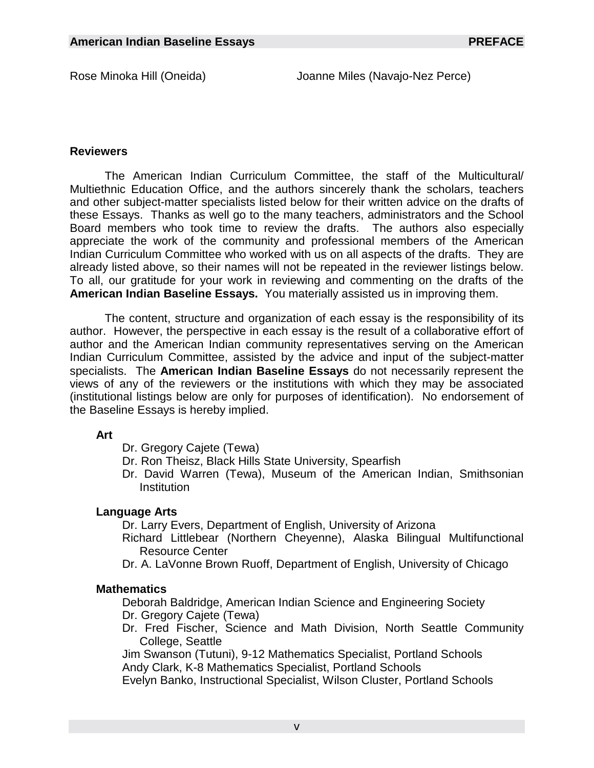#### **Reviewers**

 The American Indian Curriculum Committee, the staff of the Multicultural/ Multiethnic Education Office, and the authors sincerely thank the scholars, teachers and other subject-matter specialists listed below for their written advice on the drafts of these Essays. Thanks as well go to the many teachers, administrators and the School Board members who took time to review the drafts. The authors also especially appreciate the work of the community and professional members of the American Indian Curriculum Committee who worked with us on all aspects of the drafts. They are already listed above, so their names will not be repeated in the reviewer listings below. To all, our gratitude for your work in reviewing and commenting on the drafts of the **American Indian Baseline Essays.** You materially assisted us in improving them.

 The content, structure and organization of each essay is the responsibility of its author. However, the perspective in each essay is the result of a collaborative effort of author and the American Indian community representatives serving on the American Indian Curriculum Committee, assisted by the advice and input of the subject-matter specialists. The **American Indian Baseline Essays** do not necessarily represent the views of any of the reviewers or the institutions with which they may be associated (institutional listings below are only for purposes of identification). No endorsement of the Baseline Essays is hereby implied.

#### **Art**

- Dr. Gregory Cajete (Tewa)
- Dr. Ron Theisz, Black Hills State University, Spearfish
- Dr. David Warren (Tewa), Museum of the American Indian, Smithsonian **Institution**

#### **Language Arts**

Dr. Larry Evers, Department of English, University of Arizona

- Richard Littlebear (Northern Cheyenne), Alaska Bilingual Multifunctional Resource Center
- Dr. A. LaVonne Brown Ruoff, Department of English, University of Chicago

#### **Mathematics**

Deborah Baldridge, American Indian Science and Engineering Society Dr. Gregory Cajete (Tewa)

Dr. Fred Fischer, Science and Math Division, North Seattle Community College, Seattle

Jim Swanson (Tutuni), 9-12 Mathematics Specialist, Portland Schools Andy Clark, K-8 Mathematics Specialist, Portland Schools

Evelyn Banko, Instructional Specialist, Wilson Cluster, Portland Schools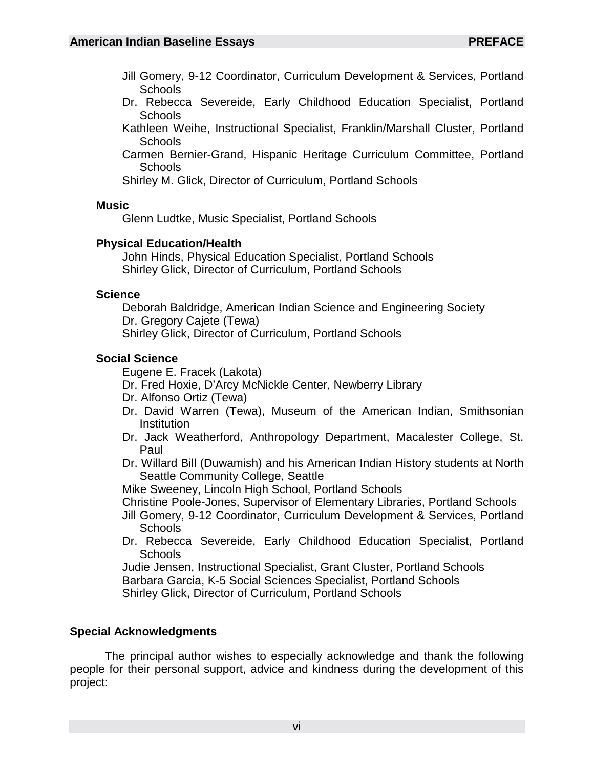- Jill Gomery, 9-12 Coordinator, Curriculum Development & Services, Portland **Schools**
- Dr. Rebecca Severeide, Early Childhood Education Specialist, Portland Schools
- Kathleen Weihe, Instructional Specialist, Franklin/Marshall Cluster, Portland Schools
- Carmen Bernier-Grand, Hispanic Heritage Curriculum Committee, Portland **Schools**

Shirley M. Glick, Director of Curriculum, Portland Schools

#### **Music**

Glenn Ludtke, Music Specialist, Portland Schools

#### **Physical Education/Health**

John Hinds, Physical Education Specialist, Portland Schools Shirley Glick, Director of Curriculum, Portland Schools

#### **Science**

Deborah Baldridge, American Indian Science and Engineering Society Dr. Gregory Cajete (Tewa) Shirley Glick, Director of Curriculum, Portland Schools

### **Social Science**

Eugene E. Fracek (Lakota)

Dr. Fred Hoxie, D'Arcy McNickle Center, Newberry Library

- Dr. Alfonso Ortiz (Tewa)
- Dr. David Warren (Tewa), Museum of the American Indian, Smithsonian **Institution**
- Dr. Jack Weatherford, Anthropology Department, Macalester College, St. Paul
- Dr. Willard Bill (Duwamish) and his American Indian History students at North Seattle Community College, Seattle
- Mike Sweeney, Lincoln High School, Portland Schools

Christine Poole-Jones, Supervisor of Elementary Libraries, Portland Schools

- Jill Gomery, 9-12 Coordinator, Curriculum Development & Services, Portland **Schools**
- Dr. Rebecca Severeide, Early Childhood Education Specialist, Portland **Schools**

Judie Jensen, Instructional Specialist, Grant Cluster, Portland Schools

Barbara Garcia, K-5 Social Sciences Specialist, Portland Schools

Shirley Glick, Director of Curriculum, Portland Schools

### **Special Acknowledgments**

 The principal author wishes to especially acknowledge and thank the following people for their personal support, advice and kindness during the development of this project: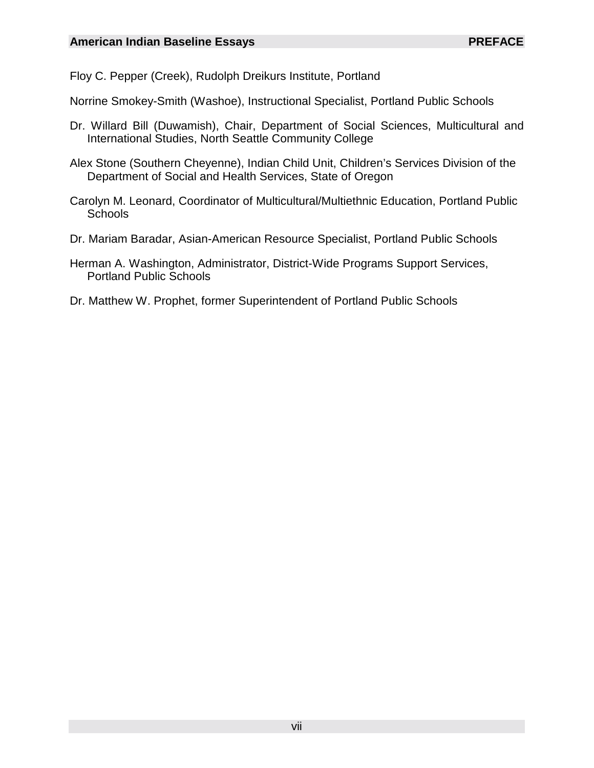Floy C. Pepper (Creek), Rudolph Dreikurs Institute, Portland

Norrine Smokey-Smith (Washoe), Instructional Specialist, Portland Public Schools

- Dr. Willard Bill (Duwamish), Chair, Department of Social Sciences, Multicultural and International Studies, North Seattle Community College
- Alex Stone (Southern Cheyenne), Indian Child Unit, Children's Services Division of the Department of Social and Health Services, State of Oregon
- Carolyn M. Leonard, Coordinator of Multicultural/Multiethnic Education, Portland Public **Schools**
- Dr. Mariam Baradar, Asian-American Resource Specialist, Portland Public Schools
- Herman A. Washington, Administrator, District-Wide Programs Support Services, Portland Public Schools
- Dr. Matthew W. Prophet, former Superintendent of Portland Public Schools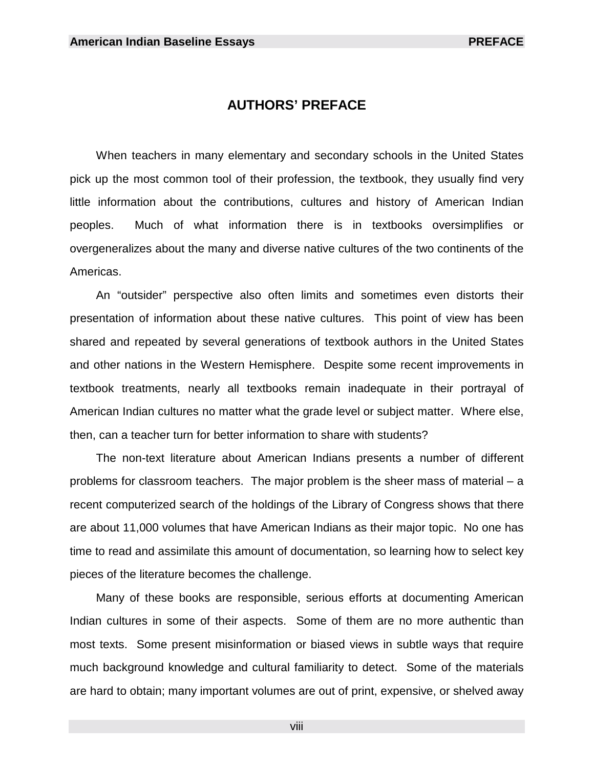# **AUTHORS' PREFACE**

 When teachers in many elementary and secondary schools in the United States pick up the most common tool of their profession, the textbook, they usually find very little information about the contributions, cultures and history of American Indian peoples. Much of what information there is in textbooks oversimplifies or overgeneralizes about the many and diverse native cultures of the two continents of the Americas.

 An "outsider" perspective also often limits and sometimes even distorts their presentation of information about these native cultures. This point of view has been shared and repeated by several generations of textbook authors in the United States and other nations in the Western Hemisphere. Despite some recent improvements in textbook treatments, nearly all textbooks remain inadequate in their portrayal of American Indian cultures no matter what the grade level or subject matter. Where else, then, can a teacher turn for better information to share with students?

 The non-text literature about American Indians presents a number of different problems for classroom teachers. The major problem is the sheer mass of material – a recent computerized search of the holdings of the Library of Congress shows that there are about 11,000 volumes that have American Indians as their major topic. No one has time to read and assimilate this amount of documentation, so learning how to select key pieces of the literature becomes the challenge.

 Many of these books are responsible, serious efforts at documenting American Indian cultures in some of their aspects. Some of them are no more authentic than most texts. Some present misinformation or biased views in subtle ways that require much background knowledge and cultural familiarity to detect. Some of the materials are hard to obtain; many important volumes are out of print, expensive, or shelved away

viii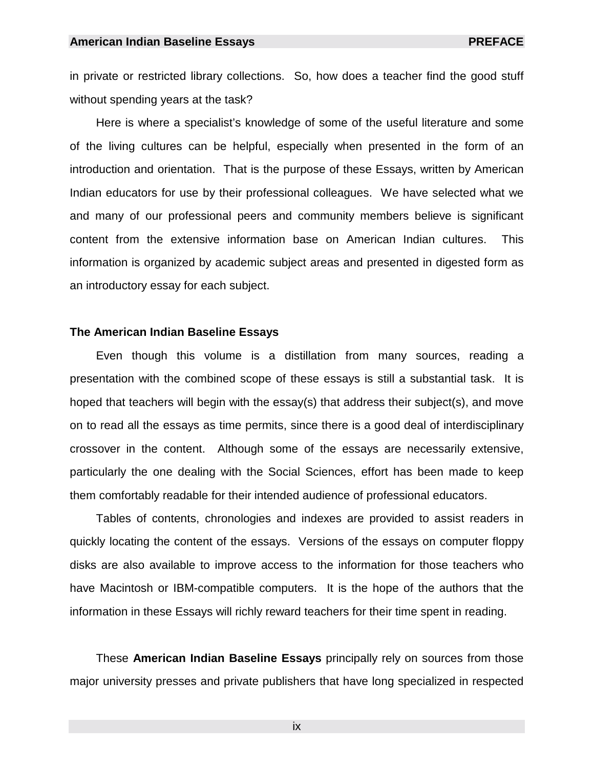in private or restricted library collections. So, how does a teacher find the good stuff without spending years at the task?

 Here is where a specialist's knowledge of some of the useful literature and some of the living cultures can be helpful, especially when presented in the form of an introduction and orientation. That is the purpose of these Essays, written by American Indian educators for use by their professional colleagues. We have selected what we and many of our professional peers and community members believe is significant content from the extensive information base on American Indian cultures. This information is organized by academic subject areas and presented in digested form as an introductory essay for each subject.

#### **The American Indian Baseline Essays**

 Even though this volume is a distillation from many sources, reading a presentation with the combined scope of these essays is still a substantial task. It is hoped that teachers will begin with the essay(s) that address their subject(s), and move on to read all the essays as time permits, since there is a good deal of interdisciplinary crossover in the content. Although some of the essays are necessarily extensive, particularly the one dealing with the Social Sciences, effort has been made to keep them comfortably readable for their intended audience of professional educators.

 Tables of contents, chronologies and indexes are provided to assist readers in quickly locating the content of the essays. Versions of the essays on computer floppy disks are also available to improve access to the information for those teachers who have Macintosh or IBM-compatible computers. It is the hope of the authors that the information in these Essays will richly reward teachers for their time spent in reading.

 These **American Indian Baseline Essays** principally rely on sources from those major university presses and private publishers that have long specialized in respected

ix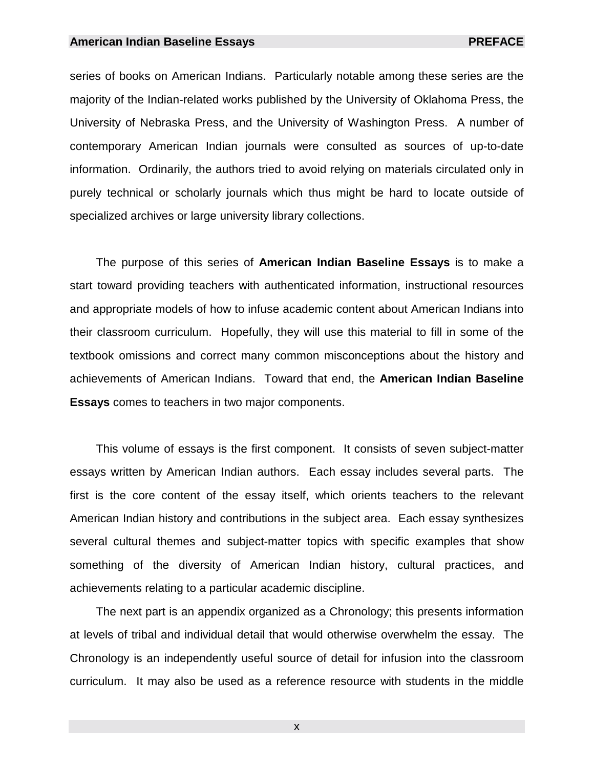#### **American Indian Baseline Essays American Indian Baseline Essays** PREFACE

series of books on American Indians. Particularly notable among these series are the majority of the Indian-related works published by the University of Oklahoma Press, the University of Nebraska Press, and the University of Washington Press. A number of contemporary American Indian journals were consulted as sources of up-to-date information. Ordinarily, the authors tried to avoid relying on materials circulated only in purely technical or scholarly journals which thus might be hard to locate outside of specialized archives or large university library collections.

 The purpose of this series of **American Indian Baseline Essays** is to make a start toward providing teachers with authenticated information, instructional resources and appropriate models of how to infuse academic content about American Indians into their classroom curriculum. Hopefully, they will use this material to fill in some of the textbook omissions and correct many common misconceptions about the history and achievements of American Indians. Toward that end, the **American Indian Baseline Essays** comes to teachers in two major components.

 This volume of essays is the first component. It consists of seven subject-matter essays written by American Indian authors. Each essay includes several parts. The first is the core content of the essay itself, which orients teachers to the relevant American Indian history and contributions in the subject area. Each essay synthesizes several cultural themes and subject-matter topics with specific examples that show something of the diversity of American Indian history, cultural practices, and achievements relating to a particular academic discipline.

 The next part is an appendix organized as a Chronology; this presents information at levels of tribal and individual detail that would otherwise overwhelm the essay. The Chronology is an independently useful source of detail for infusion into the classroom curriculum. It may also be used as a reference resource with students in the middle

x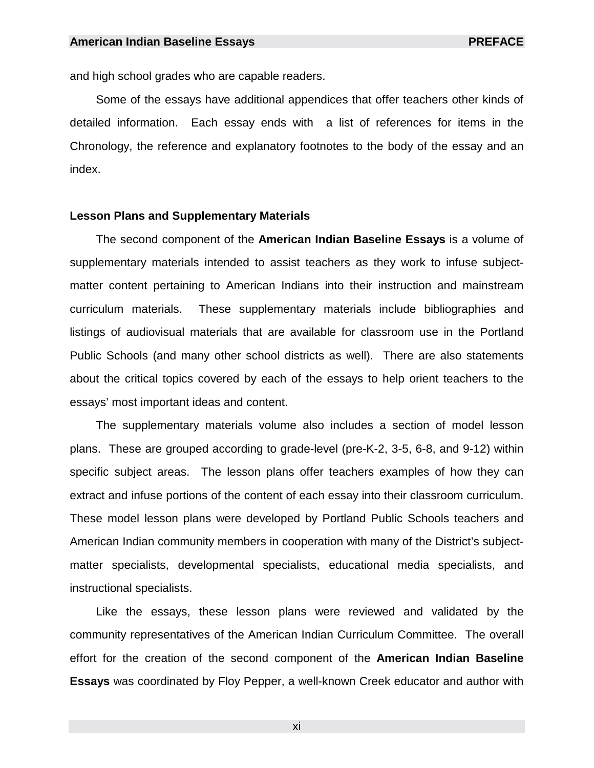and high school grades who are capable readers.

 Some of the essays have additional appendices that offer teachers other kinds of detailed information. Each essay ends with a list of references for items in the Chronology, the reference and explanatory footnotes to the body of the essay and an index.

#### **Lesson Plans and Supplementary Materials**

 The second component of the **American Indian Baseline Essays** is a volume of supplementary materials intended to assist teachers as they work to infuse subjectmatter content pertaining to American Indians into their instruction and mainstream curriculum materials. These supplementary materials include bibliographies and listings of audiovisual materials that are available for classroom use in the Portland Public Schools (and many other school districts as well). There are also statements about the critical topics covered by each of the essays to help orient teachers to the essays' most important ideas and content.

 The supplementary materials volume also includes a section of model lesson plans. These are grouped according to grade-level (pre-K-2, 3-5, 6-8, and 9-12) within specific subject areas. The lesson plans offer teachers examples of how they can extract and infuse portions of the content of each essay into their classroom curriculum. These model lesson plans were developed by Portland Public Schools teachers and American Indian community members in cooperation with many of the District's subjectmatter specialists, developmental specialists, educational media specialists, and instructional specialists.

 Like the essays, these lesson plans were reviewed and validated by the community representatives of the American Indian Curriculum Committee. The overall effort for the creation of the second component of the **American Indian Baseline Essays** was coordinated by Floy Pepper, a well-known Creek educator and author with

xi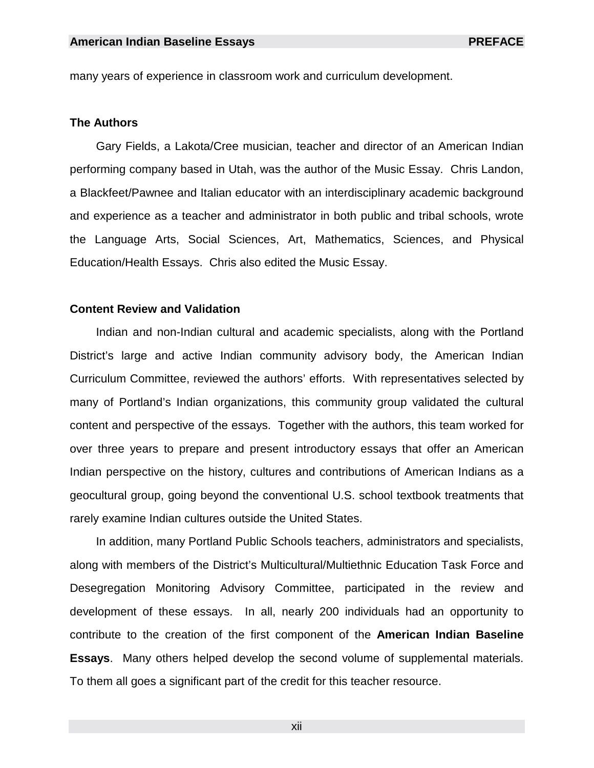many years of experience in classroom work and curriculum development.

#### **The Authors**

 Gary Fields, a Lakota/Cree musician, teacher and director of an American Indian performing company based in Utah, was the author of the Music Essay. Chris Landon, a Blackfeet/Pawnee and Italian educator with an interdisciplinary academic background and experience as a teacher and administrator in both public and tribal schools, wrote the Language Arts, Social Sciences, Art, Mathematics, Sciences, and Physical Education/Health Essays. Chris also edited the Music Essay.

#### **Content Review and Validation**

 Indian and non-Indian cultural and academic specialists, along with the Portland District's large and active Indian community advisory body, the American Indian Curriculum Committee, reviewed the authors' efforts. With representatives selected by many of Portland's Indian organizations, this community group validated the cultural content and perspective of the essays. Together with the authors, this team worked for over three years to prepare and present introductory essays that offer an American Indian perspective on the history, cultures and contributions of American Indians as a geocultural group, going beyond the conventional U.S. school textbook treatments that rarely examine Indian cultures outside the United States.

 In addition, many Portland Public Schools teachers, administrators and specialists, along with members of the District's Multicultural/Multiethnic Education Task Force and Desegregation Monitoring Advisory Committee, participated in the review and development of these essays. In all, nearly 200 individuals had an opportunity to contribute to the creation of the first component of the **American Indian Baseline Essays**. Many others helped develop the second volume of supplemental materials. To them all goes a significant part of the credit for this teacher resource.

xii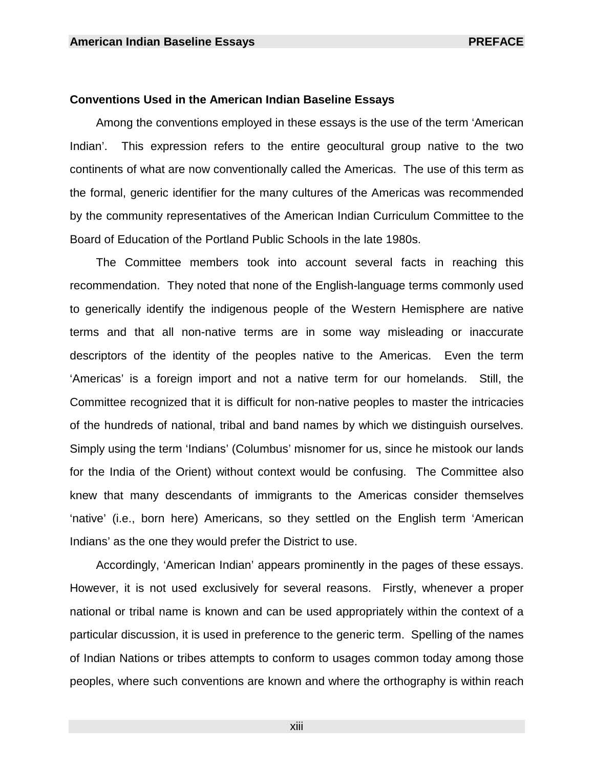#### **Conventions Used in the American Indian Baseline Essays**

 Among the conventions employed in these essays is the use of the term 'American Indian'. This expression refers to the entire geocultural group native to the two continents of what are now conventionally called the Americas. The use of this term as the formal, generic identifier for the many cultures of the Americas was recommended by the community representatives of the American Indian Curriculum Committee to the Board of Education of the Portland Public Schools in the late 1980s.

 The Committee members took into account several facts in reaching this recommendation. They noted that none of the English-language terms commonly used to generically identify the indigenous people of the Western Hemisphere are native terms and that all non-native terms are in some way misleading or inaccurate descriptors of the identity of the peoples native to the Americas. Even the term 'Americas' is a foreign import and not a native term for our homelands. Still, the Committee recognized that it is difficult for non-native peoples to master the intricacies of the hundreds of national, tribal and band names by which we distinguish ourselves. Simply using the term 'Indians' (Columbus' misnomer for us, since he mistook our lands for the India of the Orient) without context would be confusing. The Committee also knew that many descendants of immigrants to the Americas consider themselves 'native' (i.e., born here) Americans, so they settled on the English term 'American Indians' as the one they would prefer the District to use.

 Accordingly, 'American Indian' appears prominently in the pages of these essays. However, it is not used exclusively for several reasons. Firstly, whenever a proper national or tribal name is known and can be used appropriately within the context of a particular discussion, it is used in preference to the generic term. Spelling of the names of Indian Nations or tribes attempts to conform to usages common today among those peoples, where such conventions are known and where the orthography is within reach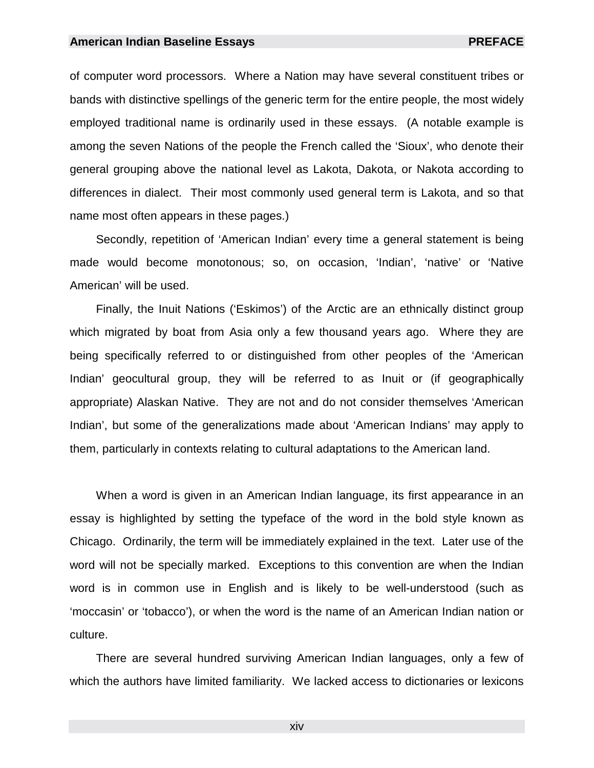#### **American Indian Baseline Essays PREFACE**

of computer word processors. Where a Nation may have several constituent tribes or bands with distinctive spellings of the generic term for the entire people, the most widely employed traditional name is ordinarily used in these essays. (A notable example is among the seven Nations of the people the French called the 'Sioux', who denote their general grouping above the national level as Lakota, Dakota, or Nakota according to differences in dialect. Their most commonly used general term is Lakota, and so that name most often appears in these pages.)

 Secondly, repetition of 'American Indian' every time a general statement is being made would become monotonous; so, on occasion, 'Indian', 'native' or 'Native American' will be used.

 Finally, the Inuit Nations ('Eskimos') of the Arctic are an ethnically distinct group which migrated by boat from Asia only a few thousand years ago. Where they are being specifically referred to or distinguished from other peoples of the 'American Indian' geocultural group, they will be referred to as Inuit or (if geographically appropriate) Alaskan Native. They are not and do not consider themselves 'American Indian', but some of the generalizations made about 'American Indians' may apply to them, particularly in contexts relating to cultural adaptations to the American land.

 When a word is given in an American Indian language, its first appearance in an essay is highlighted by setting the typeface of the word in the bold style known as Chicago. Ordinarily, the term will be immediately explained in the text. Later use of the word will not be specially marked. Exceptions to this convention are when the Indian word is in common use in English and is likely to be well-understood (such as 'moccasin' or 'tobacco'), or when the word is the name of an American Indian nation or culture.

 There are several hundred surviving American Indian languages, only a few of which the authors have limited familiarity. We lacked access to dictionaries or lexicons

xiv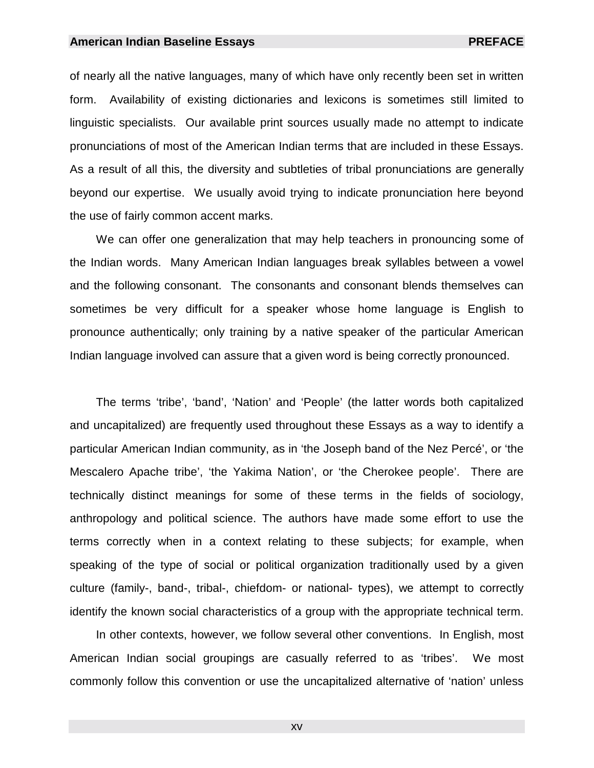#### **American Indian Baseline Essays PREFACE**

of nearly all the native languages, many of which have only recently been set in written form. Availability of existing dictionaries and lexicons is sometimes still limited to linguistic specialists. Our available print sources usually made no attempt to indicate pronunciations of most of the American Indian terms that are included in these Essays. As a result of all this, the diversity and subtleties of tribal pronunciations are generally beyond our expertise. We usually avoid trying to indicate pronunciation here beyond the use of fairly common accent marks.

 We can offer one generalization that may help teachers in pronouncing some of the Indian words. Many American Indian languages break syllables between a vowel and the following consonant. The consonants and consonant blends themselves can sometimes be very difficult for a speaker whose home language is English to pronounce authentically; only training by a native speaker of the particular American Indian language involved can assure that a given word is being correctly pronounced.

 The terms 'tribe', 'band', 'Nation' and 'People' (the latter words both capitalized and uncapitalized) are frequently used throughout these Essays as a way to identify a particular American Indian community, as in 'the Joseph band of the Nez Percé', or 'the Mescalero Apache tribe', 'the Yakima Nation', or 'the Cherokee people'. There are technically distinct meanings for some of these terms in the fields of sociology, anthropology and political science. The authors have made some effort to use the terms correctly when in a context relating to these subjects; for example, when speaking of the type of social or political organization traditionally used by a given culture (family-, band-, tribal-, chiefdom- or national- types), we attempt to correctly identify the known social characteristics of a group with the appropriate technical term.

 In other contexts, however, we follow several other conventions. In English, most American Indian social groupings are casually referred to as 'tribes'. We most commonly follow this convention or use the uncapitalized alternative of 'nation' unless

xv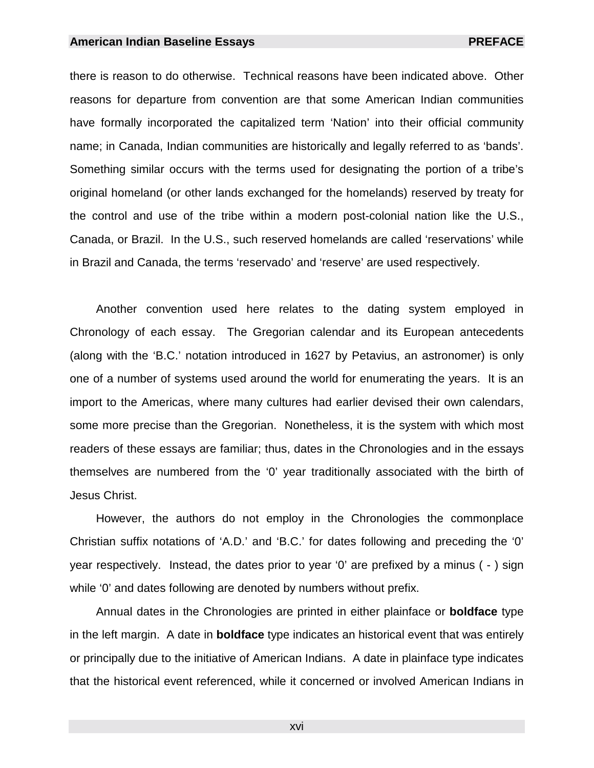#### **American Indian Baseline Essays American Indian Baseline Essays** PREFACE

there is reason to do otherwise. Technical reasons have been indicated above. Other reasons for departure from convention are that some American Indian communities have formally incorporated the capitalized term 'Nation' into their official community name; in Canada, Indian communities are historically and legally referred to as 'bands'. Something similar occurs with the terms used for designating the portion of a tribe's original homeland (or other lands exchanged for the homelands) reserved by treaty for the control and use of the tribe within a modern post-colonial nation like the U.S., Canada, or Brazil. In the U.S., such reserved homelands are called 'reservations' while in Brazil and Canada, the terms 'reservado' and 'reserve' are used respectively.

 Another convention used here relates to the dating system employed in Chronology of each essay. The Gregorian calendar and its European antecedents (along with the 'B.C.' notation introduced in 1627 by Petavius, an astronomer) is only one of a number of systems used around the world for enumerating the years. It is an import to the Americas, where many cultures had earlier devised their own calendars, some more precise than the Gregorian. Nonetheless, it is the system with which most readers of these essays are familiar; thus, dates in the Chronologies and in the essays themselves are numbered from the '0' year traditionally associated with the birth of Jesus Christ.

 However, the authors do not employ in the Chronologies the commonplace Christian suffix notations of 'A.D.' and 'B.C.' for dates following and preceding the '0' year respectively. Instead, the dates prior to year '0' are prefixed by a minus ( - ) sign while '0' and dates following are denoted by numbers without prefix.

 Annual dates in the Chronologies are printed in either plainface or **boldface** type in the left margin. A date in **boldface** type indicates an historical event that was entirely or principally due to the initiative of American Indians. A date in plainface type indicates that the historical event referenced, while it concerned or involved American Indians in

xvi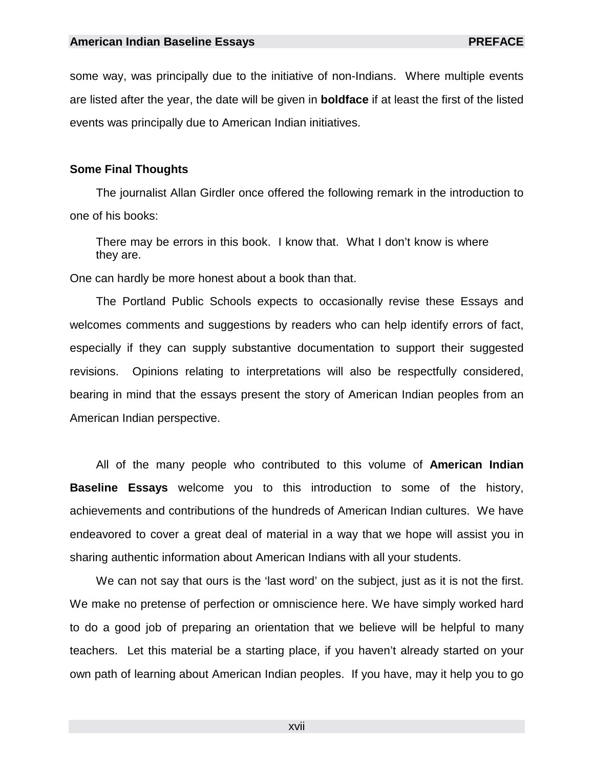some way, was principally due to the initiative of non-Indians. Where multiple events are listed after the year, the date will be given in **boldface** if at least the first of the listed events was principally due to American Indian initiatives.

#### **Some Final Thoughts**

 The journalist Allan Girdler once offered the following remark in the introduction to one of his books:

There may be errors in this book. I know that. What I don't know is where they are.

One can hardly be more honest about a book than that.

 The Portland Public Schools expects to occasionally revise these Essays and welcomes comments and suggestions by readers who can help identify errors of fact, especially if they can supply substantive documentation to support their suggested revisions. Opinions relating to interpretations will also be respectfully considered, bearing in mind that the essays present the story of American Indian peoples from an American Indian perspective.

 All of the many people who contributed to this volume of **American Indian Baseline Essays** welcome you to this introduction to some of the history, achievements and contributions of the hundreds of American Indian cultures. We have endeavored to cover a great deal of material in a way that we hope will assist you in sharing authentic information about American Indians with all your students.

We can not say that ours is the 'last word' on the subject, just as it is not the first. We make no pretense of perfection or omniscience here. We have simply worked hard to do a good job of preparing an orientation that we believe will be helpful to many teachers. Let this material be a starting place, if you haven't already started on your own path of learning about American Indian peoples. If you have, may it help you to go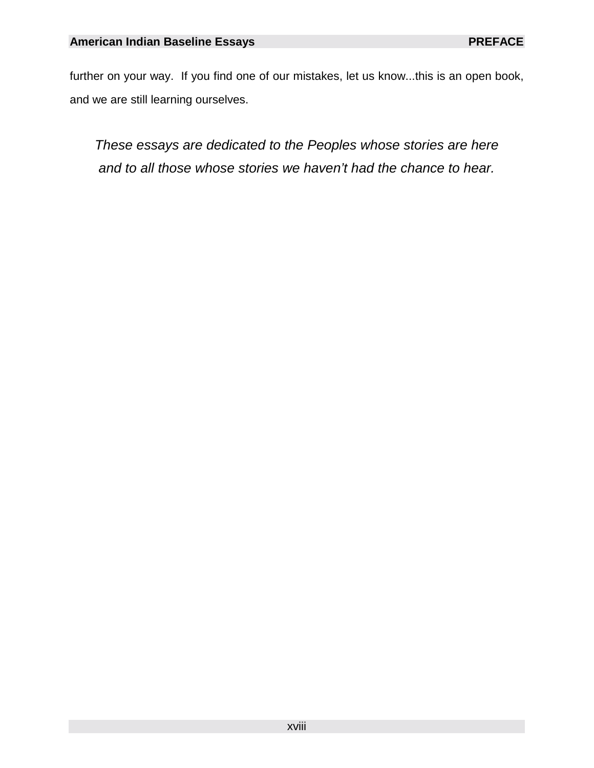further on your way. If you find one of our mistakes, let us know...this is an open book, and we are still learning ourselves.

*These essays are dedicated to the Peoples whose stories are here and to all those whose stories we haven't had the chance to hear.*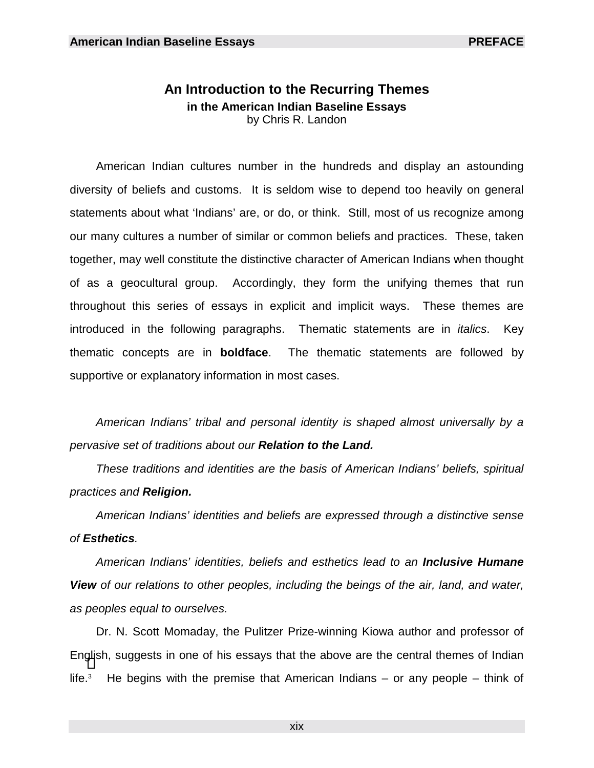# **An Introduction to the Recurring Themes in the American Indian Baseline Essays**  by Chris R. Landon

 American Indian cultures number in the hundreds and display an astounding diversity of beliefs and customs. It is seldom wise to depend too heavily on general statements about what 'Indians' are, or do, or think. Still, most of us recognize among our many cultures a number of similar or common beliefs and practices. These, taken together, may well constitute the distinctive character of American Indians when thought of as a geocultural group. Accordingly, they form the unifying themes that run throughout this series of essays in explicit and implicit ways. These themes are introduced in the following paragraphs. Thematic statements are in *italics*. Key thematic concepts are in **boldface**. The thematic statements are followed by supportive or explanatory information in most cases.

*American Indians' tribal and personal identity is shaped almost universally by a pervasive set of traditions about our Relation to the Land.* 

*These traditions and identities are the basis of American Indians' beliefs, spiritual practices and Religion.* 

*American Indians' identities and beliefs are expressed through a distinctive sense of Esthetics.* 

*American Indians' identities, beliefs and esthetics lead to an Inclusive Humane View of our relations to other peoples, including the beings of the air, land, and water, as peoples equal to ourselves.*

 Dr. N. Scott Momaday, the Pulitzer Prize-winning Kiowa author and professor of En[gli](#page-25-0)sh, suggests in one of his essays that the above are the central themes of Indian  $l$ ife. $3$ He begins with the premise that American Indians – or any people – think of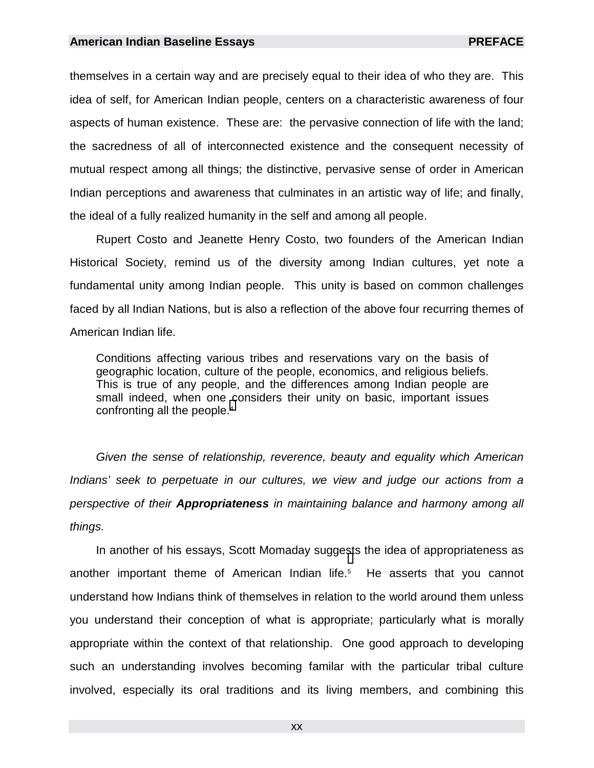themselves in a certain way and are precisely equal to their idea of who they are. This idea of self, for American Indian people, centers on a characteristic awareness of four aspects of human existence. These are: the pervasive connection of life with the land; the sacredness of all of interconnected existence and the consequent necessity of mutual respect among all things; the distinctive, pervasive sense of order in American Indian perceptions and awareness that culminates in an artistic way of life; and finally, the ideal of a fully realized humanity in the self and among all people.

 Rupert Costo and Jeanette Henry Costo, two founders of the American Indian Historical Society, remind us of the diversity among Indian cultures, yet note a fundamental unity among Indian people. This unity is based on common challenges faced by all Indian Nations, but is also a reflection of the above four recurring themes of American Indian life.

Conditions affecting various tribes and reservations vary on the basis of geographic location, culture of the people, economics, and religious beliefs. This is true of any people, and the differences among Indian people are small indeed, when one considers their unity on basic, important issues confronting all the people.<sup>4</sup>

*Given the sense of relationship, reverence, beauty and equality which American*  Indians' seek to perpetuate in our cultures, we view and judge our actions from a *perspective of their Appropriateness in maintaining balance and harmony among all things.*

 In another of his essays, Scott Momaday sugge[st](#page-25-0)s the idea of appropriateness as another important theme of American Indian life.<sup>5</sup> He asserts that you cannot understand how Indians think of themselves in relation to the world around them unless you understand their conception of what is appropriate; particularly what is morally appropriate within the context of that relationship. One good approach to developing such an understanding involves becoming familar with the particular tribal culture involved, especially its oral traditions and its living members, and combining this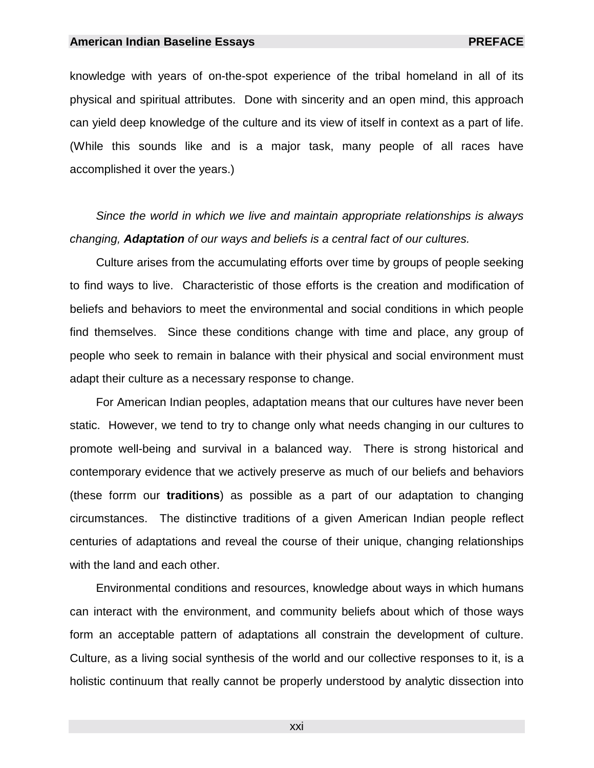#### **American Indian Baseline Essays PREFACE**

knowledge with years of on-the-spot experience of the tribal homeland in all of its physical and spiritual attributes. Done with sincerity and an open mind, this approach can yield deep knowledge of the culture and its view of itself in context as a part of life. (While this sounds like and is a major task, many people of all races have accomplished it over the years.)

*Since the world in which we live and maintain appropriate relationships is always changing, Adaptation of our ways and beliefs is a central fact of our cultures.*

Culture arises from the accumulating efforts over time by groups of people seeking to find ways to live. Characteristic of those efforts is the creation and modification of beliefs and behaviors to meet the environmental and social conditions in which people find themselves. Since these conditions change with time and place, any group of people who seek to remain in balance with their physical and social environment must adapt their culture as a necessary response to change.

 For American Indian peoples, adaptation means that our cultures have never been static. However, we tend to try to change only what needs changing in our cultures to promote well-being and survival in a balanced way. There is strong historical and contemporary evidence that we actively preserve as much of our beliefs and behaviors (these forrm our **traditions**) as possible as a part of our adaptation to changing circumstances. The distinctive traditions of a given American Indian people reflect centuries of adaptations and reveal the course of their unique, changing relationships with the land and each other.

 Environmental conditions and resources, knowledge about ways in which humans can interact with the environment, and community beliefs about which of those ways form an acceptable pattern of adaptations all constrain the development of culture. Culture, as a living social synthesis of the world and our collective responses to it, is a holistic continuum that really cannot be properly understood by analytic dissection into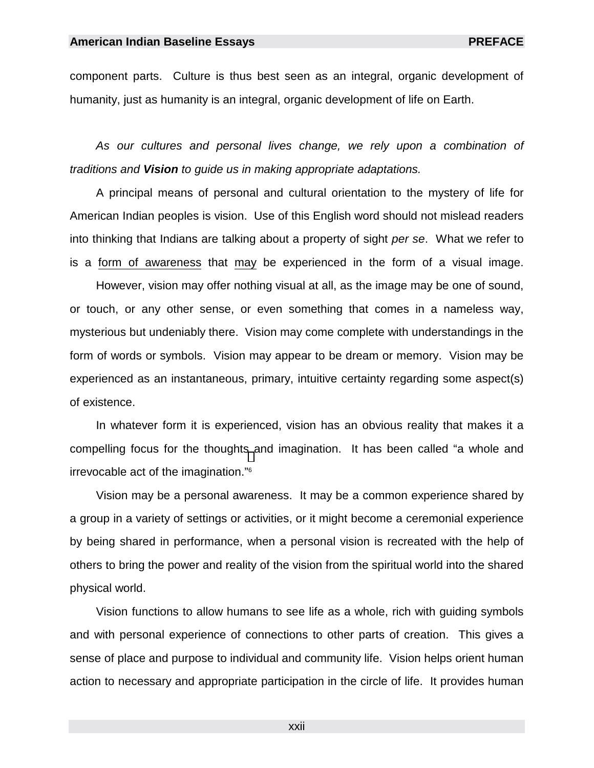component parts. Culture is thus best seen as an integral, organic development of humanity, just as humanity is an integral, organic development of life on Earth.

*As our cultures and personal lives change, we rely upon a combination of traditions and Vision to guide us in making appropriate adaptations.*

 A principal means of personal and cultural orientation to the mystery of life for American Indian peoples is vision. Use of this English word should not mislead readers into thinking that Indians are talking about a property of sight *per se*. What we refer to is a form of awareness that may be experienced in the form of a visual image.

 However, vision may offer nothing visual at all, as the image may be one of sound, or touch, or any other sense, or even something that comes in a nameless way, mysterious but undeniably there. Vision may come complete with understandings in the form of words or symbols. Vision may appear to be dream or memory. Vision may be experienced as an instantaneous, primary, intuitive certainty regarding some aspect(s) of existence.

 In whatever form it is experienced, vision has an obvious reality that makes it a compelling focus for the thought[s a](#page-25-0)nd imagination. It has been called "a whole and irrevocable act of the imagination."6

 Vision may be a personal awareness. It may be a common experience shared by a group in a variety of settings or activities, or it might become a ceremonial experience by being shared in performance, when a personal vision is recreated with the help of others to bring the power and reality of the vision from the spiritual world into the shared physical world.

 Vision functions to allow humans to see life as a whole, rich with guiding symbols and with personal experience of connections to other parts of creation. This gives a sense of place and purpose to individual and community life. Vision helps orient human action to necessary and appropriate participation in the circle of life. It provides human

xxii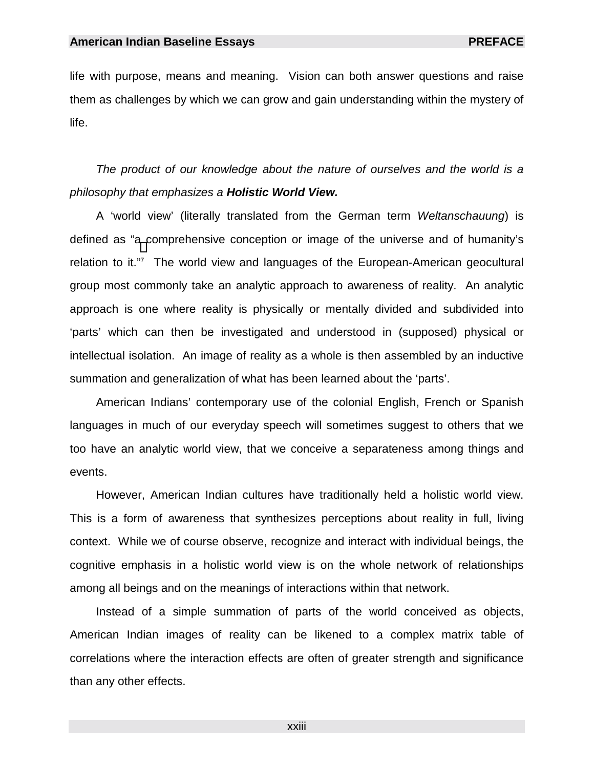life with purpose, means and meaning. Vision can both answer questions and raise them as challenges by which we can grow and gain understanding within the mystery of life.

*The product of our knowledge about the nature of ourselves and the world is a philosophy that emphasizes a Holistic World View.*

 A 'world view' (literally translated from the German term *Weltanschauung*) is defined as "[a c](#page-25-0)omprehensive conception or image of the universe and of humanity's relation to it."7 The world view and languages of the European-American geocultural group most commonly take an analytic approach to awareness of reality. An analytic approach is one where reality is physically or mentally divided and subdivided into 'parts' which can then be investigated and understood in (supposed) physical or intellectual isolation. An image of reality as a whole is then assembled by an inductive summation and generalization of what has been learned about the 'parts'.

 American Indians' contemporary use of the colonial English, French or Spanish languages in much of our everyday speech will sometimes suggest to others that we too have an analytic world view, that we conceive a separateness among things and events.

 However, American Indian cultures have traditionally held a holistic world view. This is a form of awareness that synthesizes perceptions about reality in full, living context. While we of course observe, recognize and interact with individual beings, the cognitive emphasis in a holistic world view is on the whole network of relationships among all beings and on the meanings of interactions within that network.

 Instead of a simple summation of parts of the world conceived as objects, American Indian images of reality can be likened to a complex matrix table of correlations where the interaction effects are often of greater strength and significance than any other effects.